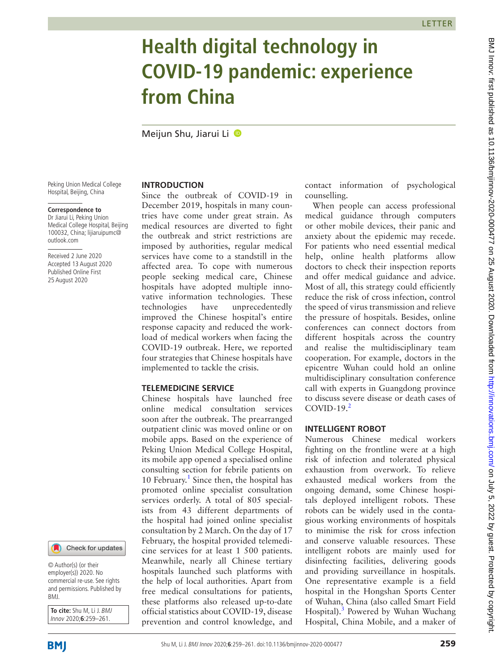# **Health digital technology in COVID-19 pandemic: experience from China**

Meijun Shu, Jiarui Li

Peking Union Medical College Hospital, Beijing, China

#### **Correspondence to**

Dr Jiarui Li, Peking Union Medical College Hospital, Beijing 100032, China; lijiaruipumc@ outlook.com

Received 2 June 2020 Accepted 13 August 2020 Published Online First 25 August 2020



© Author(s) (or their employer(s)) 2020. No commercial re-use. See rights and permissions. Published by BMJ.

**To cite:** Shu M, Li J. BMJ Innov 2020;**6**:259–261.

#### **INTRODUCTION**

Since the outbreak of COVID-19 in December 2019, hospitals in many countries have come under great strain. As medical resources are diverted to fight the outbreak and strict restrictions are imposed by authorities, regular medical services have come to a standstill in the affected area. To cope with numerous people seeking medical care, Chinese hospitals have adopted multiple innovative information technologies. These technologies have unprecedentedly improved the Chinese hospital's entire response capacity and reduced the workload of medical workers when facing the COVID-19 outbreak. Here, we reported four strategies that Chinese hospitals have implemented to tackle the crisis.

#### **TELEMEDICINE SERVICE**

Chinese hospitals have launched free online medical consultation services soon after the outbreak. The prearranged outpatient clinic was moved online or on mobile apps. Based on the experience of Peking Union Medical College Hospital, its mobile app opened a specialised online consulting section for febrile patients on [1](#page-2-0)0 February.<sup>1</sup> Since then, the hospital has promoted online specialist consultation services orderly. A total of 805 specialists from 43 different departments of the hospital had joined online specialist consultation by 2 March. On the day of 17 February, the hospital provided telemedicine services for at least 1 500 patients. Meanwhile, nearly all Chinese tertiary hospitals launched such platforms with the help of local authorities. Apart from free medical consultations for patients, these platforms also released up-to-date official statistics about COVID-19, disease prevention and control knowledge, and

contact information of psychological counselling.

When people can access professional medical guidance through computers or other mobile devices, their panic and anxiety about the epidemic may recede. For patients who need essential medical help, online health platforms allow doctors to check their inspection reports and offer medical guidance and advice. Most of all, this strategy could efficiently reduce the risk of cross infection, control the speed of virus transmission and relieve the pressure of hospitals. Besides, online conferences can connect doctors from different hospitals across the country and realise the multidisciplinary team cooperation. For example, doctors in the epicentre Wuhan could hold an online multidisciplinary consultation conference call with experts in Guangdong province to discuss severe disease or death cases of  $COVID-19.<sup>2</sup>$  $COVID-19.<sup>2</sup>$  $COVID-19.<sup>2</sup>$ 

# **INTELLIGENT ROBOT**

Numerous Chinese medical workers fighting on the frontline were at a high risk of infection and tolerated physical exhaustion from overwork. To relieve exhausted medical workers from the ongoing demand, some Chinese hospitals deployed intelligent robots. These robots can be widely used in the contagious working environments of hospitals to minimise the risk for cross infection and conserve valuable resources. These intelligent robots are mainly used for disinfecting facilities, delivering goods and providing surveillance in hospitals. One representative example is a field hospital in the Hongshan Sports Center of Wuhan, China (also called Smart Field Hospital).<sup>[3](#page-2-2)</sup> Powered by Wuhan Wuchang Hospital, China Mobile, and a maker of

**BMI**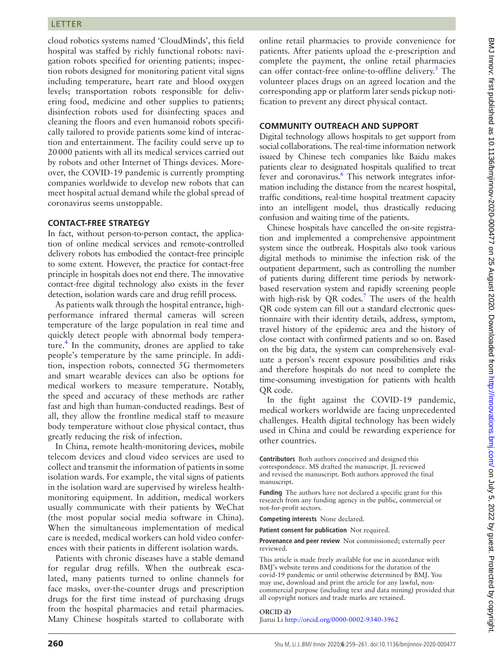cloud robotics systems named 'CloudMinds', this field hospital was staffed by richly functional robots: navigation robots specified for orienting patients; inspection robots designed for monitoring patient vital signs including temperature, heart rate and blood oxygen levels; transportation robots responsible for delivering food, medicine and other supplies to patients; disinfection robots used for disinfecting spaces and cleaning the floors and even humanoid robots specifically tailored to provide patients some kind of interaction and entertainment. The facility could serve up to 20000 patients with all its medical services carried out by robots and other Internet of Things devices. Moreover, the COVID-19 pandemic is currently prompting companies worldwide to develop new robots that can meet hospital actual demand while the global spread of coronavirus seems unstoppable.

### **CONTACT-FREE STRATEGY**

In fact, without person-to-person contact, the application of online medical services and remote-controlled delivery robots has embodied the contact-free principle to some extent. However, the practice for contact-free principle in hospitals does not end there. The innovative contact-free digital technology also exists in the fever detection, isolation wards care and drug refill process.

As patients walk through the hospital entrance, highperformance infrared thermal cameras will screen temperature of the large population in real time and quickly detect people with abnormal body tempera-ture.<sup>[4](#page-2-3)</sup> In the community, drones are applied to take people's temperature by the same principle. In addition, inspection robots, connected 5G thermometers and smart wearable devices can also be options for medical workers to measure temperature. Notably, the speed and accuracy of these methods are rather fast and high than human-conducted readings. Best of all, they allow the frontline medical staff to measure body temperature without close physical contact, thus greatly reducing the risk of infection.

In China, remote health-monitoring devices, mobile telecom devices and cloud video services are used to collect and transmit the information of patients in some isolation wards. For example, the vital signs of patients in the isolation ward are supervised by wireless healthmonitoring equipment. In addition, medical workers usually communicate with their patients by WeChat (the most popular social media software in China). When the simultaneous implementation of medical care is needed, medical workers can hold video conferences with their patients in different isolation wards.

Patients with chronic diseases have a stable demand for regular drug refills. When the outbreak escalated, many patients turned to online channels for face masks, over-the-counter drugs and prescription drugs for the first time instead of purchasing drugs from the hospital pharmacies and retail pharmacies. Many Chinese hospitals started to collaborate with

online retail pharmacies to provide convenience for patients. After patients upload the e-prescription and complete the payment, the online retail pharmacies can offer contact-free online-to-offline delivery.<sup>[5](#page-2-4)</sup> The volunteer places drugs on an agreed location and the corresponding app or platform later sends pickup notification to prevent any direct physical contact.

# **COMMUNITY OUTREACH AND SUPPORT**

Digital technology allows hospitals to get support from social collaborations. The real-time information network issued by Chinese tech companies like Baidu makes patients clear to designated hospitals qualified to treat fever and coronavirus.<sup>6</sup> This network integrates information including the distance from the nearest hospital, traffic conditions, real-time hospital treatment capacity into an intelligent model, thus drastically reducing confusion and waiting time of the patients.

Chinese hospitals have cancelled the on-site registration and implemented a comprehensive appointment system since the outbreak. Hospitals also took various digital methods to minimise the infection risk of the outpatient department, such as controlling the number of patients during different time periods by networkbased reservation system and rapidly screening people with high-risk by  $QR \cdot codes$ .<sup>7</sup> The users of the health QR code system can fill out a standard electronic questionnaire with their identity details, address, symptom, travel history of the epidemic area and the history of close contact with confirmed patients and so on. Based on the big data, the system can comprehensively evaluate a person's recent exposure possibilities and risks and therefore hospitals do not need to complete the time-consuming investigation for patients with health QR code.

In the fight against the COVID-19 pandemic, medical workers worldwide are facing unprecedented challenges. Health digital technology has been widely used in China and could be rewarding experience for other countries.

**Contributors** Both authors conceived and designed this correspondence. MS drafted the manuscript. JL reviewed and revised the manuscript. Both authors approved the final manuscript.

**Funding** The authors have not declared a specific grant for this research from any funding agency in the public, commercial or not-for-profit sectors.

**Competing interests** None declared.

**Patient consent for publication** Not required.

**Provenance and peer review** Not commissioned; externally peer reviewed.

This article is made freely available for use in accordance with BMJ's website terms and conditions for the duration of the covid-19 pandemic or until otherwise determined by BMJ. You may use, download and print the article for any lawful, noncommercial purpose (including text and data mining) provided that all copyright notices and trade marks are retained.

#### **ORCID iD**

Jiarui Li <http://orcid.org/0000-0002-9340-3962>